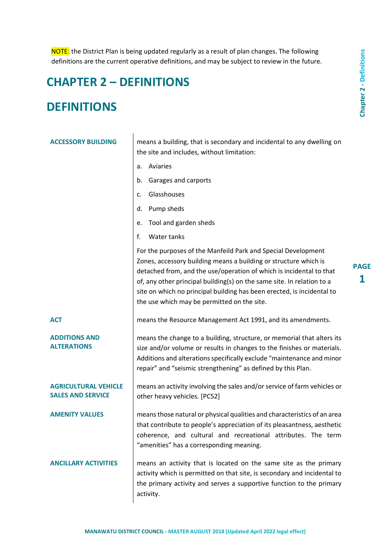NOTE: the District Plan is being updated regularly as a result of plan changes. The following definitions are the current operative definitions, and may be subject to review in the future.

# **CHAPTER 2 – DEFINITIONS**

# **DEFINITIONS**

| <b>ACCESSORY BUILDING</b>                               | means a building, that is secondary and incidental to any dwelling on<br>the site and includes, without limitation:                                                                                                                                                                                                                                                                                         |                  |  |
|---------------------------------------------------------|-------------------------------------------------------------------------------------------------------------------------------------------------------------------------------------------------------------------------------------------------------------------------------------------------------------------------------------------------------------------------------------------------------------|------------------|--|
|                                                         | Aviaries<br>a.                                                                                                                                                                                                                                                                                                                                                                                              |                  |  |
|                                                         | Garages and carports<br>b.                                                                                                                                                                                                                                                                                                                                                                                  |                  |  |
|                                                         | Glasshouses<br>c.                                                                                                                                                                                                                                                                                                                                                                                           |                  |  |
|                                                         | Pump sheds<br>d.                                                                                                                                                                                                                                                                                                                                                                                            |                  |  |
|                                                         | Tool and garden sheds<br>е.                                                                                                                                                                                                                                                                                                                                                                                 |                  |  |
|                                                         | f.<br>Water tanks                                                                                                                                                                                                                                                                                                                                                                                           |                  |  |
|                                                         | For the purposes of the Manfeild Park and Special Development<br>Zones, accessory building means a building or structure which is<br>detached from, and the use/operation of which is incidental to that<br>of, any other principal building(s) on the same site. In relation to a<br>site on which no principal building has been erected, is incidental to<br>the use which may be permitted on the site. | <b>PAGE</b><br>1 |  |
| <b>ACT</b>                                              | means the Resource Management Act 1991, and its amendments.                                                                                                                                                                                                                                                                                                                                                 |                  |  |
| <b>ADDITIONS AND</b><br><b>ALTERATIONS</b>              | means the change to a building, structure, or memorial that alters its<br>size and/or volume or results in changes to the finishes or materials.<br>Additions and alterations specifically exclude "maintenance and minor<br>repair" and "seismic strengthening" as defined by this Plan.                                                                                                                   |                  |  |
| <b>AGRICULTURAL VEHICLE</b><br><b>SALES AND SERVICE</b> | means an activity involving the sales and/or service of farm vehicles or<br>other heavy vehicles. [PC52]                                                                                                                                                                                                                                                                                                    |                  |  |
| <b>AMENITY VALUES</b>                                   | means those natural or physical qualities and characteristics of an area<br>that contribute to people's appreciation of its pleasantness, aesthetic<br>coherence, and cultural and recreational attributes. The term<br>"amenities" has a corresponding meaning.                                                                                                                                            |                  |  |
| <b>ANCILLARY ACTIVITIES</b>                             | means an activity that is located on the same site as the primary<br>activity which is permitted on that site, is secondary and incidental to<br>the primary activity and serves a supportive function to the primary<br>activity.                                                                                                                                                                          |                  |  |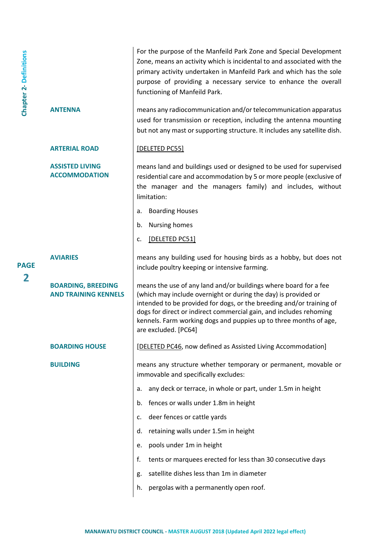| <b>Chapter 2-Definitions</b> |                                                          | For the purpose of the Manfeild Park Zone and Special Development<br>Zone, means an activity which is incidental to and associated with the<br>primary activity undertaken in Manfeild Park and which has the sole<br>purpose of providing a necessary service to enhance the overall<br>functioning of Manfeild Park.                                                        |
|------------------------------|----------------------------------------------------------|-------------------------------------------------------------------------------------------------------------------------------------------------------------------------------------------------------------------------------------------------------------------------------------------------------------------------------------------------------------------------------|
|                              | <b>ANTENNA</b>                                           | means any radiocommunication and/or telecommunication apparatus<br>used for transmission or reception, including the antenna mounting<br>but not any mast or supporting structure. It includes any satellite dish.                                                                                                                                                            |
|                              | <b>ARTERIAL ROAD</b>                                     | [DELETED PC55]                                                                                                                                                                                                                                                                                                                                                                |
|                              | <b>ASSISTED LIVING</b><br><b>ACCOMMODATION</b>           | means land and buildings used or designed to be used for supervised<br>residential care and accommodation by 5 or more people (exclusive of<br>the manager and the managers family) and includes, without<br>limitation:                                                                                                                                                      |
|                              |                                                          | <b>Boarding Houses</b><br>a.                                                                                                                                                                                                                                                                                                                                                  |
|                              |                                                          | Nursing homes<br>b.                                                                                                                                                                                                                                                                                                                                                           |
|                              |                                                          | [DELETED PC51]<br>c.                                                                                                                                                                                                                                                                                                                                                          |
| <b>PAGE</b>                  | <b>AVIARIES</b>                                          | means any building used for housing birds as a hobby, but does not<br>include poultry keeping or intensive farming.                                                                                                                                                                                                                                                           |
| $\overline{\mathbf{2}}$      | <b>BOARDING, BREEDING</b><br><b>AND TRAINING KENNELS</b> | means the use of any land and/or buildings where board for a fee<br>(which may include overnight or during the day) is provided or<br>intended to be provided for dogs, or the breeding and/or training of<br>dogs for direct or indirect commercial gain, and includes rehoming<br>kennels. Farm working dogs and puppies up to three months of age,<br>are excluded. [PC64] |
|                              | <b>BOARDING HOUSE</b>                                    | [DELETED PC46, now defined as Assisted Living Accommodation]                                                                                                                                                                                                                                                                                                                  |
|                              | <b>BUILDING</b>                                          | means any structure whether temporary or permanent, movable or<br>immovable and specifically excludes:                                                                                                                                                                                                                                                                        |
|                              |                                                          | any deck or terrace, in whole or part, under 1.5m in height<br>a.                                                                                                                                                                                                                                                                                                             |
|                              |                                                          | fences or walls under 1.8m in height<br>b.                                                                                                                                                                                                                                                                                                                                    |
|                              |                                                          | deer fences or cattle yards<br>c.                                                                                                                                                                                                                                                                                                                                             |
|                              |                                                          | retaining walls under 1.5m in height<br>d.                                                                                                                                                                                                                                                                                                                                    |
|                              |                                                          | pools under 1m in height<br>e.                                                                                                                                                                                                                                                                                                                                                |
|                              |                                                          | f.<br>tents or marquees erected for less than 30 consecutive days                                                                                                                                                                                                                                                                                                             |
|                              |                                                          | satellite dishes less than 1m in diameter<br>g.                                                                                                                                                                                                                                                                                                                               |
|                              |                                                          | pergolas with a permanently open roof.<br>h.                                                                                                                                                                                                                                                                                                                                  |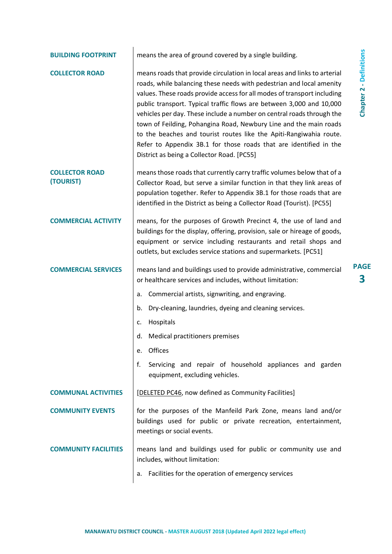| <b>BUILDING FOOTPRINT</b>          | means the area of ground covered by a single building.                                                                                                                                                                                                                                                                                                                                                                                                                                                                                                                                                                                      |  |
|------------------------------------|---------------------------------------------------------------------------------------------------------------------------------------------------------------------------------------------------------------------------------------------------------------------------------------------------------------------------------------------------------------------------------------------------------------------------------------------------------------------------------------------------------------------------------------------------------------------------------------------------------------------------------------------|--|
| <b>COLLECTOR ROAD</b>              | means roads that provide circulation in local areas and links to arterial<br>roads, while balancing these needs with pedestrian and local amenity<br>values. These roads provide access for all modes of transport including<br>public transport. Typical traffic flows are between 3,000 and 10,000<br>vehicles per day. These include a number on central roads through the<br>town of Feilding, Pohangina Road, Newbury Line and the main roads<br>to the beaches and tourist routes like the Apiti-Rangiwahia route.<br>Refer to Appendix 3B.1 for those roads that are identified in the<br>District as being a Collector Road. [PC55] |  |
| <b>COLLECTOR ROAD</b><br>(TOURIST) | means those roads that currently carry traffic volumes below that of a<br>Collector Road, but serve a similar function in that they link areas of<br>population together. Refer to Appendix 3B.1 for those roads that are<br>identified in the District as being a Collector Road (Tourist). [PC55]                                                                                                                                                                                                                                                                                                                                         |  |
| <b>COMMERCIAL ACTIVITY</b>         | means, for the purposes of Growth Precinct 4, the use of land and<br>buildings for the display, offering, provision, sale or hireage of goods,<br>equipment or service including restaurants and retail shops and<br>outlets, but excludes service stations and supermarkets. [PC51]                                                                                                                                                                                                                                                                                                                                                        |  |
| <b>COMMERCIAL SERVICES</b>         | means land and buildings used to provide administrative, commercial<br>or healthcare services and includes, without limitation:                                                                                                                                                                                                                                                                                                                                                                                                                                                                                                             |  |
|                                    | Commercial artists, signwriting, and engraving.<br>a.                                                                                                                                                                                                                                                                                                                                                                                                                                                                                                                                                                                       |  |
|                                    | b.<br>Dry-cleaning, laundries, dyeing and cleaning services.                                                                                                                                                                                                                                                                                                                                                                                                                                                                                                                                                                                |  |
|                                    | Hospitals<br>c.                                                                                                                                                                                                                                                                                                                                                                                                                                                                                                                                                                                                                             |  |
|                                    | d.<br>Medical practitioners premises                                                                                                                                                                                                                                                                                                                                                                                                                                                                                                                                                                                                        |  |
|                                    | Offices<br>e.                                                                                                                                                                                                                                                                                                                                                                                                                                                                                                                                                                                                                               |  |
|                                    | f.<br>Servicing and repair of household appliances and garden<br>equipment, excluding vehicles.                                                                                                                                                                                                                                                                                                                                                                                                                                                                                                                                             |  |
| <b>COMMUNAL ACTIVITIES</b>         | [DELETED PC46, now defined as Community Facilities]                                                                                                                                                                                                                                                                                                                                                                                                                                                                                                                                                                                         |  |
| <b>COMMUNITY EVENTS</b>            | for the purposes of the Manfeild Park Zone, means land and/or<br>buildings used for public or private recreation, entertainment,<br>meetings or social events.                                                                                                                                                                                                                                                                                                                                                                                                                                                                              |  |
| <b>COMMUNITY FACILITIES</b>        | means land and buildings used for public or community use and<br>includes, without limitation:                                                                                                                                                                                                                                                                                                                                                                                                                                                                                                                                              |  |
|                                    | Facilities for the operation of emergency services<br>а.                                                                                                                                                                                                                                                                                                                                                                                                                                                                                                                                                                                    |  |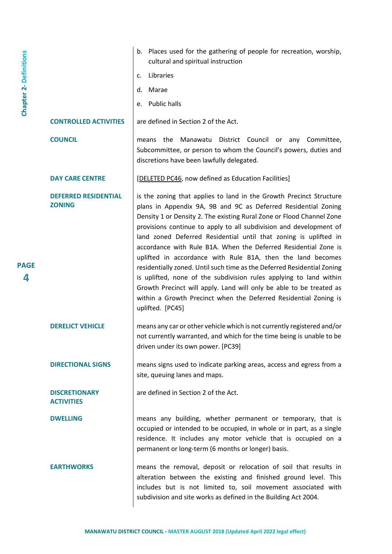|                               |                                              | Places used for the gathering of people for recreation, worship,<br>b.<br>cultural and spiritual instruction                                                                                                                                                                                                                                                                                                                                                                                                                                                                                                                                                                                                                                                                                               |
|-------------------------------|----------------------------------------------|------------------------------------------------------------------------------------------------------------------------------------------------------------------------------------------------------------------------------------------------------------------------------------------------------------------------------------------------------------------------------------------------------------------------------------------------------------------------------------------------------------------------------------------------------------------------------------------------------------------------------------------------------------------------------------------------------------------------------------------------------------------------------------------------------------|
|                               |                                              | Libraries<br>c.                                                                                                                                                                                                                                                                                                                                                                                                                                                                                                                                                                                                                                                                                                                                                                                            |
|                               |                                              | d.<br>Marae                                                                                                                                                                                                                                                                                                                                                                                                                                                                                                                                                                                                                                                                                                                                                                                                |
| <b>Chapter 2- Definitions</b> |                                              | <b>Public halls</b><br>e.                                                                                                                                                                                                                                                                                                                                                                                                                                                                                                                                                                                                                                                                                                                                                                                  |
|                               | <b>CONTROLLED ACTIVITIES</b>                 | are defined in Section 2 of the Act.                                                                                                                                                                                                                                                                                                                                                                                                                                                                                                                                                                                                                                                                                                                                                                       |
|                               | <b>COUNCIL</b>                               | the<br>Manawatu<br>District<br>Council<br>means<br>or<br>any<br>Committee,<br>Subcommittee, or person to whom the Council's powers, duties and<br>discretions have been lawfully delegated.                                                                                                                                                                                                                                                                                                                                                                                                                                                                                                                                                                                                                |
|                               | <b>DAY CARE CENTRE</b>                       | [DELETED PC46, now defined as Education Facilities]                                                                                                                                                                                                                                                                                                                                                                                                                                                                                                                                                                                                                                                                                                                                                        |
| <b>PAGE</b><br>4              | <b>DEFERRED RESIDENTIAL</b><br><b>ZONING</b> | is the zoning that applies to land in the Growth Precinct Structure<br>plans in Appendix 9A, 9B and 9C as Deferred Residential Zoning<br>Density 1 or Density 2. The existing Rural Zone or Flood Channel Zone<br>provisions continue to apply to all subdivision and development of<br>land zoned Deferred Residential until that zoning is uplifted in<br>accordance with Rule B1A. When the Deferred Residential Zone is<br>uplifted in accordance with Rule B1A, then the land becomes<br>residentially zoned. Until such time as the Deferred Residential Zoning<br>is uplifted, none of the subdivision rules applying to land within<br>Growth Precinct will apply. Land will only be able to be treated as<br>within a Growth Precinct when the Deferred Residential Zoning is<br>uplifted. [PC45] |
|                               | <b>DERELICT VEHICLE</b>                      | means any car or other vehicle which is not currently registered and/or<br>not currently warranted, and which for the time being is unable to be<br>driven under its own power. [PC39]                                                                                                                                                                                                                                                                                                                                                                                                                                                                                                                                                                                                                     |
|                               | <b>DIRECTIONAL SIGNS</b>                     | means signs used to indicate parking areas, access and egress from a<br>site, queuing lanes and maps.                                                                                                                                                                                                                                                                                                                                                                                                                                                                                                                                                                                                                                                                                                      |
|                               | <b>DISCRETIONARY</b><br><b>ACTIVITIES</b>    | are defined in Section 2 of the Act.                                                                                                                                                                                                                                                                                                                                                                                                                                                                                                                                                                                                                                                                                                                                                                       |
|                               | <b>DWELLING</b>                              | means any building, whether permanent or temporary, that is<br>occupied or intended to be occupied, in whole or in part, as a single<br>residence. It includes any motor vehicle that is occupied on a<br>permanent or long-term (6 months or longer) basis.                                                                                                                                                                                                                                                                                                                                                                                                                                                                                                                                               |
|                               | <b>EARTHWORKS</b>                            | means the removal, deposit or relocation of soil that results in<br>alteration between the existing and finished ground level. This<br>includes but is not limited to, soil movement associated with<br>subdivision and site works as defined in the Building Act 2004.                                                                                                                                                                                                                                                                                                                                                                                                                                                                                                                                    |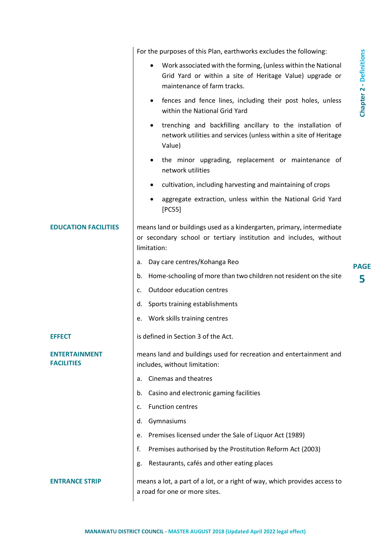|                                    | For the purposes of this Plan, earthworks excludes the following:                                                                                         |                                |
|------------------------------------|-----------------------------------------------------------------------------------------------------------------------------------------------------------|--------------------------------|
|                                    | Work associated with the forming, (unless within the National<br>Grid Yard or within a site of Heritage Value) upgrade or<br>maintenance of farm tracks.  | <b>Chapter 2 - Definitions</b> |
|                                    | fences and fence lines, including their post holes, unless<br>٠<br>within the National Grid Yard                                                          |                                |
|                                    | trenching and backfilling ancillary to the installation of<br>٠<br>network utilities and services (unless within a site of Heritage<br>Value)             |                                |
|                                    | the minor upgrading, replacement or maintenance of<br>٠<br>network utilities                                                                              |                                |
|                                    | cultivation, including harvesting and maintaining of crops<br>٠                                                                                           |                                |
|                                    | aggregate extraction, unless within the National Grid Yard<br>[PC55]                                                                                      |                                |
| <b>EDUCATION FACILITIES</b>        | means land or buildings used as a kindergarten, primary, intermediate<br>or secondary school or tertiary institution and includes, without<br>limitation: |                                |
|                                    | Day care centres/Kohanga Reo<br>а.                                                                                                                        | <b>PAGE</b>                    |
|                                    | Home-schooling of more than two children not resident on the site<br>b.                                                                                   | 5                              |
|                                    | <b>Outdoor education centres</b><br>c.                                                                                                                    |                                |
|                                    | Sports training establishments<br>d.                                                                                                                      |                                |
|                                    | Work skills training centres<br>е.                                                                                                                        |                                |
| <b>EFFECT</b>                      | is defined in Section 3 of the Act.                                                                                                                       |                                |
| ENTERTAINMENT<br><b>FACILITIES</b> | means land and buildings used for recreation and entertainment and<br>includes, without limitation:                                                       |                                |
|                                    | Cinemas and theatres<br>a.                                                                                                                                |                                |
|                                    | Casino and electronic gaming facilities<br>b.                                                                                                             |                                |
|                                    | <b>Function centres</b><br>c.                                                                                                                             |                                |
|                                    | Gymnasiums<br>d.                                                                                                                                          |                                |
|                                    | Premises licensed under the Sale of Liquor Act (1989)<br>е.                                                                                               |                                |
|                                    | Premises authorised by the Prostitution Reform Act (2003)<br>f.                                                                                           |                                |
|                                    | Restaurants, cafés and other eating places<br>g.                                                                                                          |                                |
| <b>ENTRANCE STRIP</b>              | means a lot, a part of a lot, or a right of way, which provides access to<br>a road for one or more sites.                                                |                                |
|                                    |                                                                                                                                                           |                                |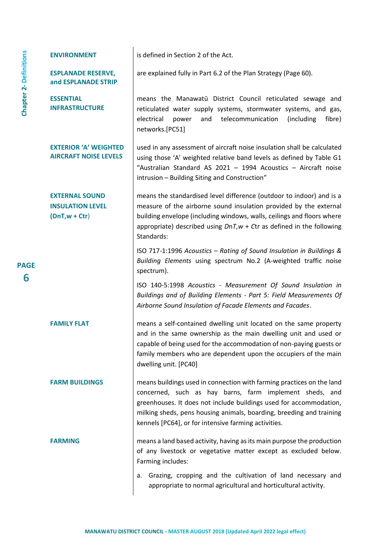|                               | <b>ENVIRONMENT</b>                                                  | is defined in Section 2 of the Act.                                                                                                                                                                                                                                                                                                    |
|-------------------------------|---------------------------------------------------------------------|----------------------------------------------------------------------------------------------------------------------------------------------------------------------------------------------------------------------------------------------------------------------------------------------------------------------------------------|
| <b>Chapter 2- Definitions</b> | <b>ESPLANADE RESERVE,</b><br>and ESPLANADE STRIP                    | are explained fully in Part 6.2 of the Plan Strategy (Page 60).                                                                                                                                                                                                                                                                        |
|                               | <b>ESSENTIAL</b><br><b>INFRASTRUCTURE</b>                           | means the Manawatū District Council reticulated sewage and<br>reticulated water supply systems, stormwater systems, and gas,<br>telecommunication<br>electrical<br>and<br>(including<br>fibre)<br>power<br>networks.[PC51]                                                                                                             |
|                               | <b>EXTERIOR 'A' WEIGHTED</b><br><b>AIRCRAFT NOISE LEVELS</b>        | used in any assessment of aircraft noise insulation shall be calculated<br>using those 'A' weighted relative band levels as defined by Table G1<br>"Australian Standard AS 2021 - 1994 Acoustics - Aircraft noise<br>intrusion - Building Siting and Construction"                                                                     |
|                               | <b>EXTERNAL SOUND</b><br><b>INSULATION LEVEL</b><br>$(DnT,w + Ctr)$ | means the standardised level difference (outdoor to indoor) and is a<br>measure of the airborne sound insulation provided by the external<br>building envelope (including windows, walls, ceilings and floors where<br>appropriate) described using $DnT, w + Ctr$ as defined in the following<br>Standards:                           |
| <b>PAGE</b>                   |                                                                     | ISO 717-1:1996 Acoustics - Rating of Sound Insulation in Buildings &<br>Building Elements using spectrum No.2 (A-weighted traffic noise<br>spectrum).                                                                                                                                                                                  |
| 6                             |                                                                     | ISO 140-5:1998 Acoustics - Measurement Of Sound Insulation in<br>Buildings and of Building Elements - Part 5: Field Measurements Of<br>Airborne Sound Insulation of Facade Elements and Facades.                                                                                                                                       |
|                               | <b>FAMILY FLAT</b>                                                  | means a self-contained dwelling unit located on the same property<br>and in the same ownership as the main dwelling unit and used or<br>capable of being used for the accommodation of non-paying guests or<br>family members who are dependent upon the occupiers of the main<br>dwelling unit. [PC40]                                |
|                               | <b>FARM BUILDINGS</b>                                               | means buildings used in connection with farming practices on the land<br>concerned, such as hay barns, farm implement sheds, and<br>greenhouses. It does not include buildings used for accommodation,<br>milking sheds, pens housing animals, boarding, breeding and training<br>kennels [PC64], or for intensive farming activities. |
|                               | <b>FARMING</b>                                                      | means a land based activity, having as its main purpose the production<br>of any livestock or vegetative matter except as excluded below.<br>Farming includes:                                                                                                                                                                         |
|                               |                                                                     | Grazing, cropping and the cultivation of land necessary and<br>а.<br>appropriate to normal agricultural and horticultural activity.                                                                                                                                                                                                    |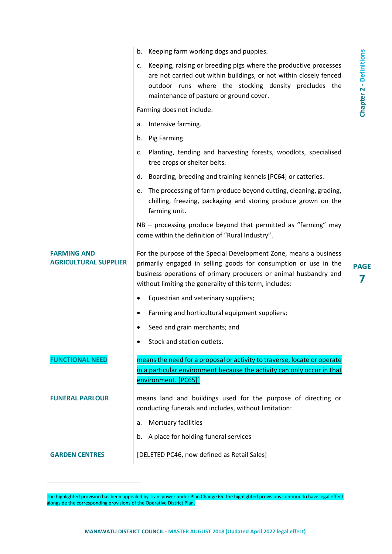|                                                    | Keeping farm working dogs and puppies.<br>b.                                                                                                                                                                                                                         |                                |
|----------------------------------------------------|----------------------------------------------------------------------------------------------------------------------------------------------------------------------------------------------------------------------------------------------------------------------|--------------------------------|
|                                                    | Keeping, raising or breeding pigs where the productive processes<br>c.<br>are not carried out within buildings, or not within closely fenced<br>outdoor runs where the stocking density precludes the<br>maintenance of pasture or ground cover.                     | <b>Chapter 2 - Definitions</b> |
|                                                    | Farming does not include:                                                                                                                                                                                                                                            |                                |
|                                                    | Intensive farming.<br>a.                                                                                                                                                                                                                                             |                                |
|                                                    | Pig Farming.<br>b.                                                                                                                                                                                                                                                   |                                |
|                                                    | Planting, tending and harvesting forests, woodlots, specialised<br>c.<br>tree crops or shelter belts.                                                                                                                                                                |                                |
|                                                    | Boarding, breeding and training kennels [PC64] or catteries.<br>d.                                                                                                                                                                                                   |                                |
|                                                    | The processing of farm produce beyond cutting, cleaning, grading,<br>e.<br>chilling, freezing, packaging and storing produce grown on the<br>farming unit.                                                                                                           |                                |
|                                                    | $NB - processing$ produce beyond that permitted as "farming" may<br>come within the definition of "Rural Industry".                                                                                                                                                  |                                |
| <b>FARMING AND</b><br><b>AGRICULTURAL SUPPLIER</b> | For the purpose of the Special Development Zone, means a business<br>primarily engaged in selling goods for consumption or use in the<br>business operations of primary producers or animal husbandry and<br>without limiting the generality of this term, includes: | <b>PAGE</b><br>7               |
|                                                    | Equestrian and veterinary suppliers;                                                                                                                                                                                                                                 |                                |
|                                                    | Farming and horticultural equipment suppliers;<br>٠                                                                                                                                                                                                                  |                                |
|                                                    | Seed and grain merchants; and                                                                                                                                                                                                                                        |                                |
|                                                    | Stock and station outlets.                                                                                                                                                                                                                                           |                                |
| <b>FUNCTIONAL NEED</b>                             | means the need for a proposal or activity to traverse, locate or operate<br>in a particular environment because the activity can only occur in that<br>environment. [PC65] <sup>1</sup>                                                                              |                                |
| <b>FUNERAL PARLOUR</b>                             | means land and buildings used for the purpose of directing or<br>conducting funerals and includes, without limitation:                                                                                                                                               |                                |
|                                                    | Mortuary facilities<br>a.                                                                                                                                                                                                                                            |                                |
|                                                    | b. A place for holding funeral services                                                                                                                                                                                                                              |                                |
| <b>GARDEN CENTRES</b>                              | [DELETED PC46, now defined as Retail Sales]                                                                                                                                                                                                                          |                                |

 $\overline{a}$ 

The highlighted provision has been appealed by Transpower under Plan Change 65. the highlighted provisions continue to have legal effect alongside the corresponding provisions of the Operative District Plan.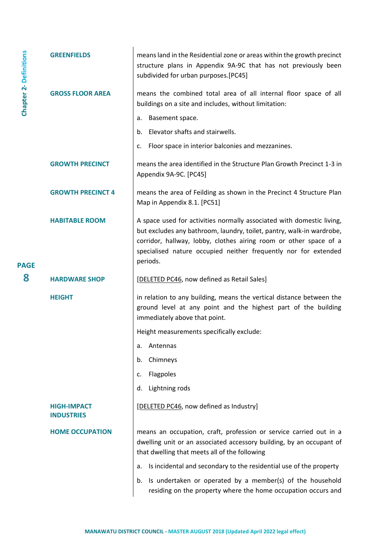| <b>Chapter 2-Definitions</b> | <b>GREENFIELDS</b>                      | means land in the Residential zone or areas within the growth precinct<br>structure plans in Appendix 9A-9C that has not previously been<br>subdivided for urban purposes.[PC45]                                                                                                                   |
|------------------------------|-----------------------------------------|----------------------------------------------------------------------------------------------------------------------------------------------------------------------------------------------------------------------------------------------------------------------------------------------------|
|                              | <b>GROSS FLOOR AREA</b>                 | means the combined total area of all internal floor space of all<br>buildings on a site and includes, without limitation:                                                                                                                                                                          |
|                              |                                         | Basement space.<br>a.                                                                                                                                                                                                                                                                              |
|                              |                                         | Elevator shafts and stairwells.<br>b.                                                                                                                                                                                                                                                              |
|                              |                                         | Floor space in interior balconies and mezzanines.<br>c.                                                                                                                                                                                                                                            |
|                              | <b>GROWTH PRECINCT</b>                  | means the area identified in the Structure Plan Growth Precinct 1-3 in<br>Appendix 9A-9C. [PC45]                                                                                                                                                                                                   |
|                              | <b>GROWTH PRECINCT 4</b>                | means the area of Feilding as shown in the Precinct 4 Structure Plan<br>Map in Appendix 8.1. [PC51]                                                                                                                                                                                                |
| <b>PAGE</b>                  | <b>HABITABLE ROOM</b>                   | A space used for activities normally associated with domestic living,<br>but excludes any bathroom, laundry, toilet, pantry, walk-in wardrobe,<br>corridor, hallway, lobby, clothes airing room or other space of a<br>specialised nature occupied neither frequently nor for extended<br>periods. |
| 8                            | <b>HARDWARE SHOP</b>                    | [DELETED PC46, now defined as Retail Sales]                                                                                                                                                                                                                                                        |
|                              | <b>HEIGHT</b>                           | in relation to any building, means the vertical distance between the<br>ground level at any point and the highest part of the building<br>immediately above that point.                                                                                                                            |
|                              |                                         | Height measurements specifically exclude:                                                                                                                                                                                                                                                          |
|                              |                                         | Antennas<br>a.                                                                                                                                                                                                                                                                                     |
|                              |                                         | Chimneys<br>b.                                                                                                                                                                                                                                                                                     |
|                              |                                         | Flagpoles<br>c.                                                                                                                                                                                                                                                                                    |
|                              |                                         | Lightning rods<br>d.                                                                                                                                                                                                                                                                               |
|                              | <b>HIGH-IMPACT</b><br><b>INDUSTRIES</b> | [DELETED PC46, now defined as Industry]                                                                                                                                                                                                                                                            |
|                              | <b>HOME OCCUPATION</b>                  | means an occupation, craft, profession or service carried out in a<br>dwelling unit or an associated accessory building, by an occupant of<br>that dwelling that meets all of the following                                                                                                        |
|                              |                                         | Is incidental and secondary to the residential use of the property<br>a.                                                                                                                                                                                                                           |
|                              |                                         | Is undertaken or operated by a member(s) of the household<br>b.<br>residing on the property where the home occupation occurs and                                                                                                                                                                   |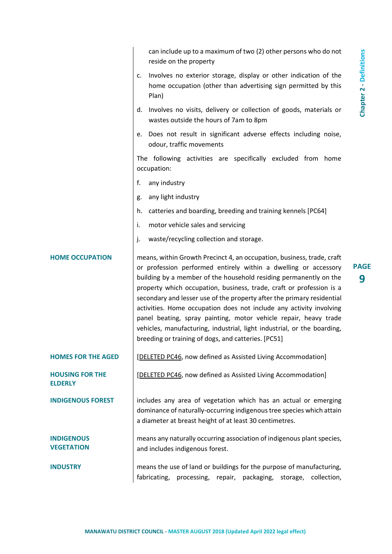|                                          | can include up to a maximum of two (2) other persons who do not<br>reside on the property                                                                                                                                                                                                                                                                                                                                                                                                                                                                                                                                                                         |
|------------------------------------------|-------------------------------------------------------------------------------------------------------------------------------------------------------------------------------------------------------------------------------------------------------------------------------------------------------------------------------------------------------------------------------------------------------------------------------------------------------------------------------------------------------------------------------------------------------------------------------------------------------------------------------------------------------------------|
|                                          | <b>Chapter 2 - Definitions</b><br>Involves no exterior storage, display or other indication of the<br>c.<br>home occupation (other than advertising sign permitted by this<br>Plan)                                                                                                                                                                                                                                                                                                                                                                                                                                                                               |
|                                          | Involves no visits, delivery or collection of goods, materials or<br>d.<br>wastes outside the hours of 7am to 8pm                                                                                                                                                                                                                                                                                                                                                                                                                                                                                                                                                 |
|                                          | Does not result in significant adverse effects including noise,<br>е.<br>odour, traffic movements                                                                                                                                                                                                                                                                                                                                                                                                                                                                                                                                                                 |
|                                          | The following activities are specifically excluded from home<br>occupation:                                                                                                                                                                                                                                                                                                                                                                                                                                                                                                                                                                                       |
|                                          | f.<br>any industry                                                                                                                                                                                                                                                                                                                                                                                                                                                                                                                                                                                                                                                |
|                                          | any light industry<br>g.                                                                                                                                                                                                                                                                                                                                                                                                                                                                                                                                                                                                                                          |
|                                          | catteries and boarding, breeding and training kennels [PC64]<br>h.                                                                                                                                                                                                                                                                                                                                                                                                                                                                                                                                                                                                |
|                                          | i.<br>motor vehicle sales and servicing                                                                                                                                                                                                                                                                                                                                                                                                                                                                                                                                                                                                                           |
|                                          | waste/recycling collection and storage.<br>j.                                                                                                                                                                                                                                                                                                                                                                                                                                                                                                                                                                                                                     |
| <b>HOME OCCUPATION</b>                   | means, within Growth Precinct 4, an occupation, business, trade, craft<br><b>PAGE</b><br>or profession performed entirely within a dwelling or accessory<br>building by a member of the household residing permanently on the<br>9<br>property which occupation, business, trade, craft or profession is a<br>secondary and lesser use of the property after the primary residential<br>activities. Home occupation does not include any activity involving<br>panel beating, spray painting, motor vehicle repair, heavy trade<br>vehicles, manufacturing, industrial, light industrial, or the boarding,<br>breeding or training of dogs, and catteries. [PC51] |
| <b>HOMES FOR THE AGED</b>                | [DELETED PC46, now defined as Assisted Living Accommodation]                                                                                                                                                                                                                                                                                                                                                                                                                                                                                                                                                                                                      |
| <b>HOUSING FOR THE</b><br><b>ELDERLY</b> | [DELETED PC46, now defined as Assisted Living Accommodation]                                                                                                                                                                                                                                                                                                                                                                                                                                                                                                                                                                                                      |
| <b>INDIGENOUS FOREST</b>                 | includes any area of vegetation which has an actual or emerging<br>dominance of naturally-occurring indigenous tree species which attain<br>a diameter at breast height of at least 30 centimetres.                                                                                                                                                                                                                                                                                                                                                                                                                                                               |
| <b>INDIGENOUS</b><br><b>VEGETATION</b>   | means any naturally occurring association of indigenous plant species,<br>and includes indigenous forest.                                                                                                                                                                                                                                                                                                                                                                                                                                                                                                                                                         |
| <b>INDUSTRY</b>                          | means the use of land or buildings for the purpose of manufacturing,<br>fabricating, processing, repair, packaging,<br>collection,<br>storage,                                                                                                                                                                                                                                                                                                                                                                                                                                                                                                                    |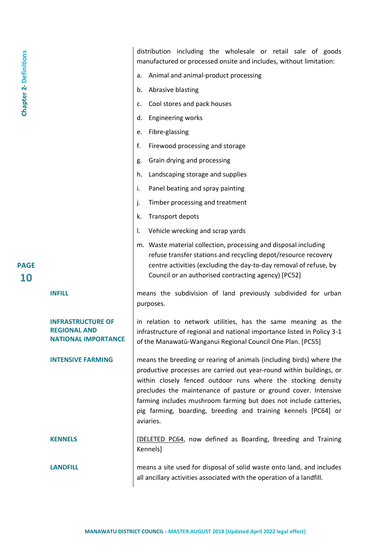| <b>Chapter 2- Definitions</b><br><b>PAGE</b> |                                                                        | distribution including the wholesale or retail sale of goods<br>manufactured or processed onsite and includes, without limitation:<br>Animal and animal-product processing<br>а.<br>Abrasive blasting<br>b.<br>Cool stores and pack houses<br>c.<br><b>Engineering works</b><br>d.<br>Fibre-glassing<br>e.<br>f.<br>Firewood processing and storage<br>Grain drying and processing<br>g.<br>Landscaping storage and supplies<br>h.<br>Panel beating and spray painting<br>i.<br>Timber processing and treatment<br>j.<br>Transport depots<br>k.<br>Vehicle wrecking and scrap yards<br>Ι.<br>m. Waste material collection, processing and disposal including<br>refuse transfer stations and recycling depot/resource recovery<br>centre activities (excluding the day-to-day removal of refuse, by |
|----------------------------------------------|------------------------------------------------------------------------|-----------------------------------------------------------------------------------------------------------------------------------------------------------------------------------------------------------------------------------------------------------------------------------------------------------------------------------------------------------------------------------------------------------------------------------------------------------------------------------------------------------------------------------------------------------------------------------------------------------------------------------------------------------------------------------------------------------------------------------------------------------------------------------------------------|
| <b>10</b>                                    | <b>INFILL</b>                                                          | Council or an authorised contracting agency) [PC52]<br>means the subdivision of land previously subdivided for urban<br>purposes.                                                                                                                                                                                                                                                                                                                                                                                                                                                                                                                                                                                                                                                                   |
|                                              | INFRASTRUCTURE OF<br><b>REGIONAL AND</b><br><b>NATIONAL IMPORTANCE</b> | in relation to network utilities, has the same meaning as the<br>infrastructure of regional and national importance listed in Policy 3-1<br>of the Manawatū-Wanganui Regional Council One Plan. [PC55]                                                                                                                                                                                                                                                                                                                                                                                                                                                                                                                                                                                              |
|                                              | <b>INTENSIVE FARMING</b>                                               | means the breeding or rearing of animals (including birds) where the<br>productive processes are carried out year-round within buildings, or<br>within closely fenced outdoor runs where the stocking density<br>precludes the maintenance of pasture or ground cover. Intensive<br>farming includes mushroom farming but does not include catteries,<br>pig farming, boarding, breeding and training kennels [PC64] or<br>aviaries.                                                                                                                                                                                                                                                                                                                                                                |
|                                              | <b>KENNELS</b>                                                         | [DELETED PC64, now defined as Boarding, Breeding and Training<br>Kennels]                                                                                                                                                                                                                                                                                                                                                                                                                                                                                                                                                                                                                                                                                                                           |
|                                              | <b>LANDFILL</b>                                                        | means a site used for disposal of solid waste onto land, and includes<br>all ancillary activities associated with the operation of a landfill.                                                                                                                                                                                                                                                                                                                                                                                                                                                                                                                                                                                                                                                      |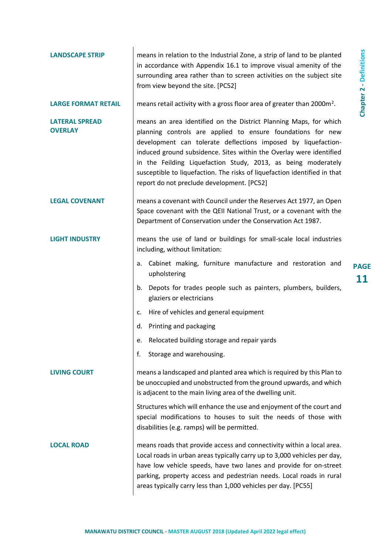| <b>LANDSCAPE STRIP</b>                  | means in relation to the Industrial Zone, a strip of land to be planted<br>in accordance with Appendix 16.1 to improve visual amenity of the<br>surrounding area rather than to screen activities on the subject site<br>from view beyond the site. [PC52]                                                                                                                                                                                                           |                                |
|-----------------------------------------|----------------------------------------------------------------------------------------------------------------------------------------------------------------------------------------------------------------------------------------------------------------------------------------------------------------------------------------------------------------------------------------------------------------------------------------------------------------------|--------------------------------|
| <b>LARGE FORMAT RETAIL</b>              | means retail activity with a gross floor area of greater than 2000m <sup>2</sup> .                                                                                                                                                                                                                                                                                                                                                                                   | <b>Chapter 2 - Definitions</b> |
| <b>LATERAL SPREAD</b><br><b>OVERLAY</b> | means an area identified on the District Planning Maps, for which<br>planning controls are applied to ensure foundations for new<br>development can tolerate deflections imposed by liquefaction-<br>induced ground subsidence. Sites within the Overlay were identified<br>in the Feilding Liquefaction Study, 2013, as being moderately<br>susceptible to liquefaction. The risks of liquefaction identified in that<br>report do not preclude development. [PC52] |                                |
| <b>LEGAL COVENANT</b>                   | means a covenant with Council under the Reserves Act 1977, an Open<br>Space covenant with the QEII National Trust, or a covenant with the<br>Department of Conservation under the Conservation Act 1987.                                                                                                                                                                                                                                                             |                                |
| <b>LIGHT INDUSTRY</b>                   | means the use of land or buildings for small-scale local industries<br>including, without limitation:                                                                                                                                                                                                                                                                                                                                                                |                                |
|                                         | Cabinet making, furniture manufacture and restoration and<br>a.<br>upholstering                                                                                                                                                                                                                                                                                                                                                                                      | <b>PAGE</b><br>11              |
|                                         | Depots for trades people such as painters, plumbers, builders,<br>b.<br>glaziers or electricians                                                                                                                                                                                                                                                                                                                                                                     |                                |
|                                         | Hire of vehicles and general equipment<br>c.                                                                                                                                                                                                                                                                                                                                                                                                                         |                                |
|                                         | Printing and packaging<br>d.                                                                                                                                                                                                                                                                                                                                                                                                                                         |                                |
|                                         | Relocated building storage and repair yards<br>е.                                                                                                                                                                                                                                                                                                                                                                                                                    |                                |
|                                         | Storage and warehousing.<br>f.                                                                                                                                                                                                                                                                                                                                                                                                                                       |                                |
| <b>LIVING COURT</b>                     | means a landscaped and planted area which is required by this Plan to<br>be unoccupied and unobstructed from the ground upwards, and which<br>is adjacent to the main living area of the dwelling unit.                                                                                                                                                                                                                                                              |                                |
|                                         | Structures which will enhance the use and enjoyment of the court and<br>special modifications to houses to suit the needs of those with<br>disabilities (e.g. ramps) will be permitted.                                                                                                                                                                                                                                                                              |                                |
| <b>LOCAL ROAD</b>                       | means roads that provide access and connectivity within a local area.<br>Local roads in urban areas typically carry up to 3,000 vehicles per day,<br>have low vehicle speeds, have two lanes and provide for on-street<br>parking, property access and pedestrian needs. Local roads in rural<br>areas typically carry less than 1,000 vehicles per day. [PC55]                                                                                                      |                                |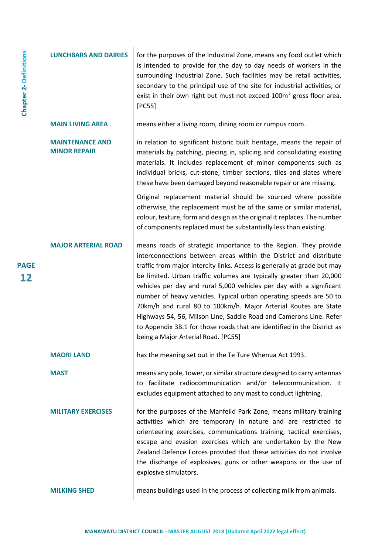| <b>Chapter 2- Definitions</b> | <b>LUNCHBARS AND DAIRIES</b>                  | for the purposes of the Industrial Zone, means any food outlet which<br>is intended to provide for the day to day needs of workers in the<br>surrounding Industrial Zone. Such facilities may be retail activities,<br>secondary to the principal use of the site for industrial activities, or<br>exist in their own right but must not exceed 100m <sup>2</sup> gross floor area.<br>[PC55]                                                                                                                                                                                                                                                                                                    |
|-------------------------------|-----------------------------------------------|--------------------------------------------------------------------------------------------------------------------------------------------------------------------------------------------------------------------------------------------------------------------------------------------------------------------------------------------------------------------------------------------------------------------------------------------------------------------------------------------------------------------------------------------------------------------------------------------------------------------------------------------------------------------------------------------------|
|                               | <b>MAIN LIVING AREA</b>                       | means either a living room, dining room or rumpus room.                                                                                                                                                                                                                                                                                                                                                                                                                                                                                                                                                                                                                                          |
|                               | <b>MAINTENANCE AND</b><br><b>MINOR REPAIR</b> | in relation to significant historic built heritage, means the repair of<br>materials by patching, piecing in, splicing and consolidating existing<br>materials. It includes replacement of minor components such as<br>individual bricks, cut-stone, timber sections, tiles and slates where<br>these have been damaged beyond reasonable repair or are missing.                                                                                                                                                                                                                                                                                                                                 |
|                               |                                               | Original replacement material should be sourced where possible<br>otherwise, the replacement must be of the same or similar material,<br>colour, texture, form and design as the original it replaces. The number<br>of components replaced must be substantially less than existing.                                                                                                                                                                                                                                                                                                                                                                                                            |
| <b>PAGE</b><br>12             | <b>MAJOR ARTERIAL ROAD</b>                    | means roads of strategic importance to the Region. They provide<br>interconnections between areas within the District and distribute<br>traffic from major intercity links. Access is generally at grade but may<br>be limited. Urban traffic volumes are typically greater than 20,000<br>vehicles per day and rural 5,000 vehicles per day with a significant<br>number of heavy vehicles. Typical urban operating speeds are 50 to<br>70km/h and rural 80 to 100km/h. Major Arterial Routes are State<br>Highways 54, 56, Milson Line, Saddle Road and Camerons Line. Refer<br>to Appendix 3B.1 for those roads that are identified in the District as<br>being a Major Arterial Road. [PC55] |
|                               | <b>MAORI LAND</b>                             | has the meaning set out in the Te Ture Whenua Act 1993.                                                                                                                                                                                                                                                                                                                                                                                                                                                                                                                                                                                                                                          |
|                               | <b>MAST</b>                                   | means any pole, tower, or similar structure designed to carry antennas<br>to facilitate radiocommunication and/or telecommunication. It<br>excludes equipment attached to any mast to conduct lightning.                                                                                                                                                                                                                                                                                                                                                                                                                                                                                         |
|                               | <b>MILITARY EXERCISES</b>                     | for the purposes of the Manfeild Park Zone, means military training<br>activities which are temporary in nature and are restricted to<br>orienteering exercises, communications training, tactical exercises,<br>escape and evasion exercises which are undertaken by the New<br>Zealand Defence Forces provided that these activities do not involve<br>the discharge of explosives, guns or other weapons or the use of<br>explosive simulators.                                                                                                                                                                                                                                               |
|                               | <b>MILKING SHED</b>                           | means buildings used in the process of collecting milk from animals.                                                                                                                                                                                                                                                                                                                                                                                                                                                                                                                                                                                                                             |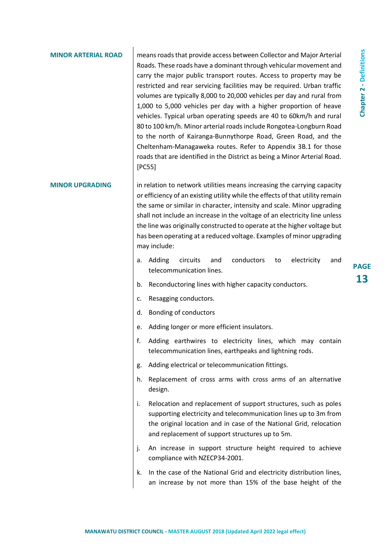| <b>NOR ARTERIAL ROAD</b> | means roads that provide access between Collector and Major Arterial<br>Roads. These roads have a dominant through vehicular movement and<br>carry the major public transport routes. Access to property may be<br>restricted and rear servicing facilities may be required. Urban traffic<br>volumes are typically 8,000 to 20,000 vehicles per day and rural from<br>1,000 to 5,000 vehicles per day with a higher proportion of heave<br>vehicles. Typical urban operating speeds are 40 to 60km/h and rural<br>80 to 100 km/h. Minor arterial roads include Rongotea-Longburn Road<br>to the north of Kairanga-Bunnythorpe Road, Green Road, and the<br>Cheltenham-Managaweka routes. Refer to Appendix 3B.1 for those<br>roads that are identified in the District as being a Minor Arterial Road.<br>[PC55] |
|--------------------------|-------------------------------------------------------------------------------------------------------------------------------------------------------------------------------------------------------------------------------------------------------------------------------------------------------------------------------------------------------------------------------------------------------------------------------------------------------------------------------------------------------------------------------------------------------------------------------------------------------------------------------------------------------------------------------------------------------------------------------------------------------------------------------------------------------------------|
| <b>MINOR UPGRADING</b>   | in relation to network utilities means increasing the carrying capacity<br>or efficiency of an existing utility while the effects of that utility remain<br>the same or similar in character, intensity and scale. Minor upgrading<br>shall not include an increase in the voltage of an electricity line unless<br>the line was originally constructed to operate at the higher voltage but<br>has been operating at a reduced voltage. Examples of minor upgrading<br>may include:                                                                                                                                                                                                                                                                                                                              |
|                          | conductors<br>electricity<br>Adding<br>circuits<br>and<br>to<br>and<br>a.<br>telecommunication lines.                                                                                                                                                                                                                                                                                                                                                                                                                                                                                                                                                                                                                                                                                                             |
|                          | Reconductoring lines with higher capacity conductors.<br>b.                                                                                                                                                                                                                                                                                                                                                                                                                                                                                                                                                                                                                                                                                                                                                       |
|                          | Resagging conductors.<br>c.                                                                                                                                                                                                                                                                                                                                                                                                                                                                                                                                                                                                                                                                                                                                                                                       |
|                          | Bonding of conductors<br>d.                                                                                                                                                                                                                                                                                                                                                                                                                                                                                                                                                                                                                                                                                                                                                                                       |
|                          | e. Adding longer or more efficient insulators.                                                                                                                                                                                                                                                                                                                                                                                                                                                                                                                                                                                                                                                                                                                                                                    |
|                          | Adding earthwires to electricity lines, which may contain<br>telecommunication lines, earthpeaks and lightning rods.                                                                                                                                                                                                                                                                                                                                                                                                                                                                                                                                                                                                                                                                                              |
|                          | Adding electrical or telecommunication fittings.<br>g.                                                                                                                                                                                                                                                                                                                                                                                                                                                                                                                                                                                                                                                                                                                                                            |
|                          | Replacement of cross arms with cross arms of an alternative<br>h.<br>design.                                                                                                                                                                                                                                                                                                                                                                                                                                                                                                                                                                                                                                                                                                                                      |
|                          | Relocation and replacement of support structures, such as poles<br>i.<br>supporting electricity and telecommunication lines up to 3m from<br>the original location and in case of the National Grid, relocation<br>and replacement of support structures up to 5m.                                                                                                                                                                                                                                                                                                                                                                                                                                                                                                                                                |
|                          | An increase in support structure height required to achieve<br>j.<br>compliance with NZECP34-2001.                                                                                                                                                                                                                                                                                                                                                                                                                                                                                                                                                                                                                                                                                                                |
|                          | In the case of the National Grid and electricity distribution lines,<br>k.<br>an increase by not more than 15% of the base height of the                                                                                                                                                                                                                                                                                                                                                                                                                                                                                                                                                                                                                                                                          |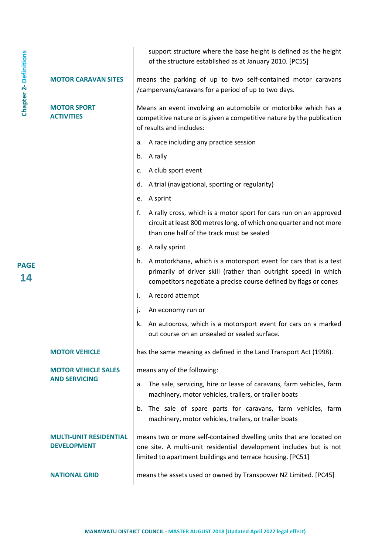|                                                     | support structure where the base height is defined as the height<br>of the structure established as at January 2010. [PC55]                                                                                    |
|-----------------------------------------------------|----------------------------------------------------------------------------------------------------------------------------------------------------------------------------------------------------------------|
| <b>MOTOR CARAVAN SITES</b>                          | means the parking of up to two self-contained motor caravans<br>/campervans/caravans for a period of up to two days.                                                                                           |
| <b>MOTOR SPORT</b><br><b>ACTIVITIES</b>             | Means an event involving an automobile or motorbike which has a<br>competitive nature or is given a competitive nature by the publication<br>of results and includes:                                          |
|                                                     | A race including any practice session<br>a.                                                                                                                                                                    |
|                                                     | b. A rally                                                                                                                                                                                                     |
|                                                     | A club sport event<br>c.                                                                                                                                                                                       |
|                                                     | A trial (navigational, sporting or regularity)<br>d.                                                                                                                                                           |
|                                                     | A sprint<br>е.                                                                                                                                                                                                 |
|                                                     | f.<br>A rally cross, which is a motor sport for cars run on an approved<br>circuit at least 800 metres long, of which one quarter and not more<br>than one half of the track must be sealed                    |
|                                                     | A rally sprint<br>g.                                                                                                                                                                                           |
|                                                     | A motorkhana, which is a motorsport event for cars that is a test<br>h.<br>primarily of driver skill (rather than outright speed) in which<br>competitors negotiate a precise course defined by flags or cones |
|                                                     | i.<br>A record attempt                                                                                                                                                                                         |
|                                                     | j.<br>An economy run or                                                                                                                                                                                        |
|                                                     | k.<br>An autocross, which is a motorsport event for cars on a marked<br>out course on an unsealed or sealed surface.                                                                                           |
| <b>MOTOR VEHICLE</b>                                | has the same meaning as defined in the Land Transport Act (1998).                                                                                                                                              |
| <b>MOTOR VEHICLE SALES</b>                          | means any of the following:                                                                                                                                                                                    |
| <b>AND SERVICING</b>                                | The sale, servicing, hire or lease of caravans, farm vehicles, farm<br>a.<br>machinery, motor vehicles, trailers, or trailer boats                                                                             |
|                                                     | The sale of spare parts for caravans, farm vehicles, farm<br>b.<br>machinery, motor vehicles, trailers, or trailer boats                                                                                       |
| <b>MULTI-UNIT RESIDENTIAL</b><br><b>DEVELOPMENT</b> | means two or more self-contained dwelling units that are located on<br>one site. A multi-unit residential development includes but is not<br>limited to apartment buildings and terrace housing. [PC51]        |
| <b>NATIONAL GRID</b>                                | means the assets used or owned by Transpower NZ Limited. [PC45]                                                                                                                                                |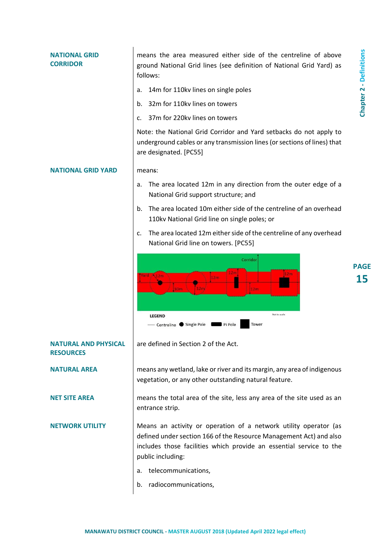| NATIONAL GRID<br><b>CORRIDOR</b>                | means the area measured either side of the centreline of above<br>ground National Grid lines (see definition of National Grid Yard) as<br>follows:                                                                                 | <b>Chapter 2 - Definitions</b> |
|-------------------------------------------------|------------------------------------------------------------------------------------------------------------------------------------------------------------------------------------------------------------------------------------|--------------------------------|
|                                                 | 14m for 110kv lines on single poles<br>a.                                                                                                                                                                                          |                                |
|                                                 | 32m for 110kv lines on towers<br>b.                                                                                                                                                                                                |                                |
|                                                 | 37m for 220kv lines on towers<br>$\mathsf{C}$ .                                                                                                                                                                                    |                                |
|                                                 | Note: the National Grid Corridor and Yard setbacks do not apply to<br>underground cables or any transmission lines (or sections of lines) that<br>are designated. [PC55]                                                           |                                |
| <b>NATIONAL GRID YARD</b>                       | means:                                                                                                                                                                                                                             |                                |
|                                                 | The area located 12m in any direction from the outer edge of a<br>a.<br>National Grid support structure; and                                                                                                                       |                                |
|                                                 | The area located 10m either side of the centreline of an overhead<br>b.<br>110kv National Grid line on single poles; or                                                                                                            |                                |
|                                                 | The area located 12m either side of the centreline of any overhead<br>c.<br>National Grid line on towers. [PC55]                                                                                                                   |                                |
|                                                 | Corridor<br>1.2m<br>12m<br>A12m<br>1.2m<br>12m<br>16m<br>12m<br>Not to scale<br><b>LEGEND</b><br>Centreline Single Pole<br>Tower<br>Pi Pole                                                                                        | <b>PAGE</b><br>15              |
| <b>NATURAL AND PHYSICAL</b><br><b>RESOURCES</b> | are defined in Section 2 of the Act.                                                                                                                                                                                               |                                |
| <b>NATURAL AREA</b>                             | means any wetland, lake or river and its margin, any area of indigenous<br>vegetation, or any other outstanding natural feature.                                                                                                   |                                |
| <b>NET SITE AREA</b>                            | means the total area of the site, less any area of the site used as an<br>entrance strip.                                                                                                                                          |                                |
| <b>NETWORK UTILITY</b>                          | Means an activity or operation of a network utility operator (as<br>defined under section 166 of the Resource Management Act) and also<br>includes those facilities which provide an essential service to the<br>public including: |                                |
|                                                 | telecommunications,<br>а.                                                                                                                                                                                                          |                                |
|                                                 | radiocommunications,<br>b.                                                                                                                                                                                                         |                                |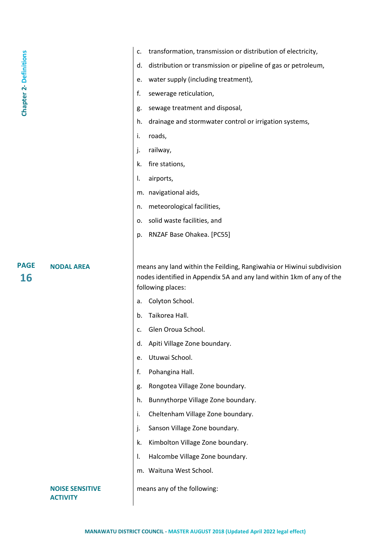|                              |                   | transformation, transmission or distribution of electricity,<br>c.                                                                                                  |
|------------------------------|-------------------|---------------------------------------------------------------------------------------------------------------------------------------------------------------------|
|                              |                   |                                                                                                                                                                     |
| <b>Chapter 2-Definitions</b> |                   | distribution or transmission or pipeline of gas or petroleum,<br>d.                                                                                                 |
|                              |                   | water supply (including treatment),<br>e.                                                                                                                           |
|                              |                   | f.<br>sewerage reticulation,                                                                                                                                        |
|                              |                   | sewage treatment and disposal,<br>g.                                                                                                                                |
|                              |                   | drainage and stormwater control or irrigation systems,<br>h.                                                                                                        |
|                              |                   | roads,<br>i.                                                                                                                                                        |
|                              |                   | j.<br>railway,                                                                                                                                                      |
|                              |                   | fire stations,<br>k.                                                                                                                                                |
|                              |                   | airports,<br>I.                                                                                                                                                     |
|                              |                   | m. navigational aids,                                                                                                                                               |
|                              |                   | meteorological facilities,<br>n.                                                                                                                                    |
|                              |                   | solid waste facilities, and<br>о.                                                                                                                                   |
|                              |                   | RNZAF Base Ohakea. [PC55]<br>p.                                                                                                                                     |
|                              |                   |                                                                                                                                                                     |
| <b>PAGE</b><br><b>16</b>     | <b>NODAL AREA</b> | means any land within the Feilding, Rangiwahia or Hiwinui subdivision<br>nodes identified in Appendix 5A and any land within 1km of any of the<br>following places: |
|                              |                   | Colyton School.<br>a.                                                                                                                                               |
|                              |                   | Taikorea Hall.<br>b.                                                                                                                                                |
|                              |                   | Glen Oroua School.<br>c.                                                                                                                                            |
|                              |                   |                                                                                                                                                                     |
|                              |                   | Apiti Village Zone boundary.<br>d.                                                                                                                                  |
|                              |                   | Utuwai School.<br>e.                                                                                                                                                |
|                              |                   | f.                                                                                                                                                                  |
|                              |                   | Pohangina Hall.                                                                                                                                                     |
|                              |                   | Rongotea Village Zone boundary.<br>g.                                                                                                                               |
|                              |                   | Bunnythorpe Village Zone boundary.<br>h.                                                                                                                            |
|                              |                   | i.<br>Cheltenham Village Zone boundary.                                                                                                                             |
|                              |                   | j.<br>Sanson Village Zone boundary.                                                                                                                                 |
|                              |                   | Kimbolton Village Zone boundary.<br>k.                                                                                                                              |
|                              |                   | Halcombe Village Zone boundary.<br>Ι.                                                                                                                               |
|                              |                   | m. Waituna West School.                                                                                                                                             |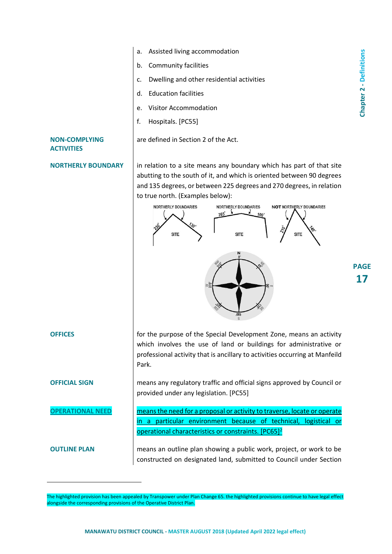

- b. Community facilities
- c. Dwelling and other residential activities
- d. Education facilities
- e. Visitor Accommodation
- f. Hospitals. [PC55]

are defined in Section 2 of the Act.

### **NON-COMPLYING ACTIVITIES**

**NORTHERLY BOUNDARY** | in relation to a site means any boundary which has part of that site abutting to the south of it, and which is oriented between 90 degrees and 135 degrees, or between 225 degrees and 270 degrees, in relation to true north. (Examples below):



 $\overline{a}$ 

**OFFICES** for the purpose of the Special Development Zone, means an activity which involves the use of land or buildings for administrative or professional activity that is ancillary to activities occurring at Manfeild Park.

**OFFICIAL SIGN** means any regulatory traffic and official signs approved by Council or provided under any legislation. [PC55]

**OPERATIONAL NEED neans the need for a proposal or activity to traverse, locate or operate** in a particular environment because of technical, logistical or operational characteristics or constraints. [PC65]<sup>2</sup>

**OUTLINE PLAN** means an outline plan showing a public work, project, or work to be constructed on designated land, submitted to Council under Section

The highlighted provision has been appealed by Transpower under Plan Change 65. the highlighted provisions continue to have legal effect alongside the corresponding provisions of the Operative District Plan.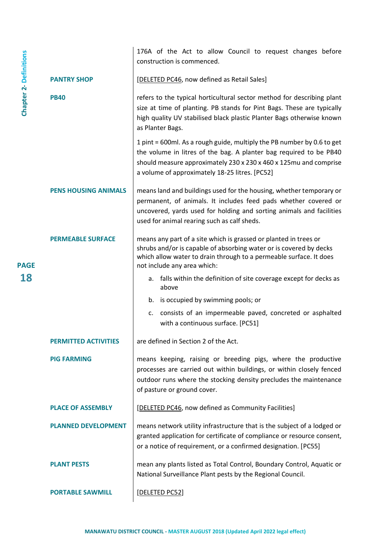|                               |                             | 176A of the Act to allow Council to request changes before<br>construction is commenced.                                                                                                                                                                            |
|-------------------------------|-----------------------------|---------------------------------------------------------------------------------------------------------------------------------------------------------------------------------------------------------------------------------------------------------------------|
|                               | <b>PANTRY SHOP</b>          | [DELETED PC46, now defined as Retail Sales]                                                                                                                                                                                                                         |
| <b>Chapter 2- Definitions</b> | <b>PB40</b>                 | refers to the typical horticultural sector method for describing plant<br>size at time of planting. PB stands for Pint Bags. These are typically<br>high quality UV stabilised black plastic Planter Bags otherwise known<br>as Planter Bags.                       |
|                               |                             | 1 pint = 600ml. As a rough guide, multiply the PB number by 0.6 to get<br>the volume in litres of the bag. A planter bag required to be PB40<br>should measure approximately 230 x 230 x 460 x 125mu and comprise<br>a volume of approximately 18-25 litres. [PC52] |
|                               | <b>PENS HOUSING ANIMALS</b> | means land and buildings used for the housing, whether temporary or<br>permanent, of animals. It includes feed pads whether covered or<br>uncovered, yards used for holding and sorting animals and facilities<br>used for animal rearing such as calf sheds.       |
| <b>PAGE</b>                   | <b>PERMEABLE SURFACE</b>    | means any part of a site which is grassed or planted in trees or<br>shrubs and/or is capable of absorbing water or is covered by decks<br>which allow water to drain through to a permeable surface. It does<br>not include any area which:                         |
| 18                            |                             | a. falls within the definition of site coverage except for decks as<br>above                                                                                                                                                                                        |
|                               |                             | b. is occupied by swimming pools; or                                                                                                                                                                                                                                |
|                               |                             | c. consists of an impermeable paved, concreted or asphalted<br>with a continuous surface. [PC51]                                                                                                                                                                    |
|                               | <b>PERMITTED ACTIVITIES</b> | are defined in Section 2 of the Act.                                                                                                                                                                                                                                |
|                               | <b>PIG FARMING</b>          | means keeping, raising or breeding pigs, where the productive<br>processes are carried out within buildings, or within closely fenced<br>outdoor runs where the stocking density precludes the maintenance<br>of pasture or ground cover.                           |
|                               | <b>PLACE OF ASSEMBLY</b>    | [DELETED PC46, now defined as Community Facilities]                                                                                                                                                                                                                 |
|                               | <b>PLANNED DEVELOPMENT</b>  | means network utility infrastructure that is the subject of a lodged or<br>granted application for certificate of compliance or resource consent,<br>or a notice of requirement, or a confirmed designation. [PC55]                                                 |
|                               | <b>PLANT PESTS</b>          | mean any plants listed as Total Control, Boundary Control, Aquatic or<br>National Surveillance Plant pests by the Regional Council.                                                                                                                                 |
|                               | <b>PORTABLE SAWMILL</b>     | [DELETED PC52]                                                                                                                                                                                                                                                      |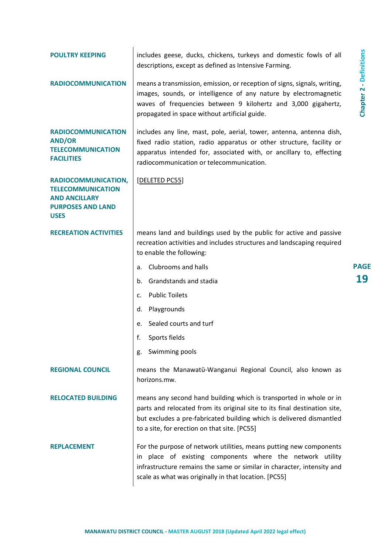| <b>POULTRY KEEPING</b>                                                                                             | includes geese, ducks, chickens, turkeys and domestic fowls of all<br>descriptions, except as defined as Intensive Farming.                                                                                                                                             |                                |
|--------------------------------------------------------------------------------------------------------------------|-------------------------------------------------------------------------------------------------------------------------------------------------------------------------------------------------------------------------------------------------------------------------|--------------------------------|
| <b>RADIOCOMMUNICATION</b>                                                                                          | means a transmission, emission, or reception of signs, signals, writing,<br>images, sounds, or intelligence of any nature by electromagnetic<br>waves of frequencies between 9 kilohertz and 3,000 gigahertz,<br>propagated in space without artificial guide.          | <b>Chapter 2 - Definitions</b> |
| <b>RADIOCOMMUNICATION</b><br><b>AND/OR</b><br><b>TELECOMMUNICATION</b><br><b>FACILITIES</b>                        | includes any line, mast, pole, aerial, tower, antenna, antenna dish,<br>fixed radio station, radio apparatus or other structure, facility or<br>apparatus intended for, associated with, or ancillary to, effecting<br>radiocommunication or telecommunication.         |                                |
| RADIOCOMMUNICATION,<br><b>TELECOMMUNICATION</b><br><b>AND ANCILLARY</b><br><b>PURPOSES AND LAND</b><br><b>USES</b> | [DELETED PC55]                                                                                                                                                                                                                                                          |                                |
| <b>RECREATION ACTIVITIES</b>                                                                                       | means land and buildings used by the public for active and passive<br>recreation activities and includes structures and landscaping required<br>to enable the following:                                                                                                |                                |
|                                                                                                                    | Clubrooms and halls<br>a.                                                                                                                                                                                                                                               | <b>PAGE</b>                    |
|                                                                                                                    | Grandstands and stadia<br>b.                                                                                                                                                                                                                                            | 19                             |
|                                                                                                                    | <b>Public Toilets</b><br>$\mathsf{C}$ .                                                                                                                                                                                                                                 |                                |
|                                                                                                                    | Playgrounds<br>d.                                                                                                                                                                                                                                                       |                                |
|                                                                                                                    | Sealed courts and turf<br>e.                                                                                                                                                                                                                                            |                                |
|                                                                                                                    | f.<br>Sports fields                                                                                                                                                                                                                                                     |                                |
|                                                                                                                    | Swimming pools<br>g.                                                                                                                                                                                                                                                    |                                |
| <b>REGIONAL COUNCIL</b>                                                                                            | means the Manawatū-Wanganui Regional Council, also known as<br>horizons.mw.                                                                                                                                                                                             |                                |
| <b>RELOCATED BUILDING</b>                                                                                          | means any second hand building which is transported in whole or in<br>parts and relocated from its original site to its final destination site,<br>but excludes a pre-fabricated building which is delivered dismantled<br>to a site, for erection on that site. [PC55] |                                |
| <b>REPLACEMENT</b>                                                                                                 | For the purpose of network utilities, means putting new components<br>place of existing components where the network utility<br>ın<br>infrastructure remains the same or similar in character, intensity and<br>scale as what was originally in that location. [PC55]   |                                |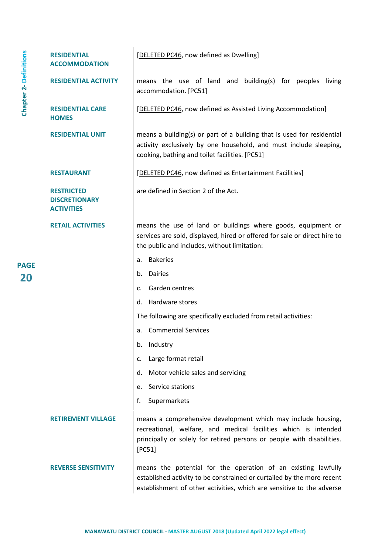|                               | <b>RESIDENTIAL</b><br><b>ACCOMMODATION</b>                     | [DELETED PC46, now defined as Dwelling]                                                                                                                                                                             |
|-------------------------------|----------------------------------------------------------------|---------------------------------------------------------------------------------------------------------------------------------------------------------------------------------------------------------------------|
| <b>Chapter 2- Definitions</b> | <b>RESIDENTIAL ACTIVITY</b>                                    | means the use of land and building(s) for peoples living<br>accommodation. [PC51]                                                                                                                                   |
|                               | <b>RESIDENTIAL CARE</b><br><b>HOMES</b>                        | [DELETED PC46, now defined as Assisted Living Accommodation]                                                                                                                                                        |
|                               | <b>RESIDENTIAL UNIT</b>                                        | means a building(s) or part of a building that is used for residential<br>activity exclusively by one household, and must include sleeping,<br>cooking, bathing and toilet facilities. [PC51]                       |
|                               | <b>RESTAURANT</b>                                              | [DELETED PC46, now defined as Entertainment Facilities]                                                                                                                                                             |
|                               | <b>RESTRICTED</b><br><b>DISCRETIONARY</b><br><b>ACTIVITIES</b> | are defined in Section 2 of the Act.                                                                                                                                                                                |
|                               | <b>RETAIL ACTIVITIES</b>                                       | means the use of land or buildings where goods, equipment or<br>services are sold, displayed, hired or offered for sale or direct hire to<br>the public and includes, without limitation:                           |
|                               |                                                                | <b>Bakeries</b><br>a.                                                                                                                                                                                               |
| <b>PAGE</b><br>20             |                                                                | Dairies<br>b.                                                                                                                                                                                                       |
|                               |                                                                | Garden centres<br>c.                                                                                                                                                                                                |
|                               |                                                                | Hardware stores<br>d.                                                                                                                                                                                               |
|                               |                                                                | The following are specifically excluded from retail activities:                                                                                                                                                     |
|                               |                                                                | <b>Commercial Services</b><br>а.                                                                                                                                                                                    |
|                               |                                                                | Industry<br>b.                                                                                                                                                                                                      |
|                               |                                                                | Large format retail<br>c.                                                                                                                                                                                           |
|                               |                                                                | Motor vehicle sales and servicing<br>d.                                                                                                                                                                             |
|                               |                                                                | Service stations<br>e.                                                                                                                                                                                              |
|                               |                                                                | f.<br>Supermarkets                                                                                                                                                                                                  |
|                               | <b>RETIREMENT VILLAGE</b>                                      | means a comprehensive development which may include housing,<br>recreational, welfare, and medical facilities which is intended<br>principally or solely for retired persons or people with disabilities.<br>[PC51] |
|                               | <b>REVERSE SENSITIVITY</b>                                     | means the potential for the operation of an existing lawfully<br>established activity to be constrained or curtailed by the more recent<br>establishment of other activities, which are sensitive to the adverse    |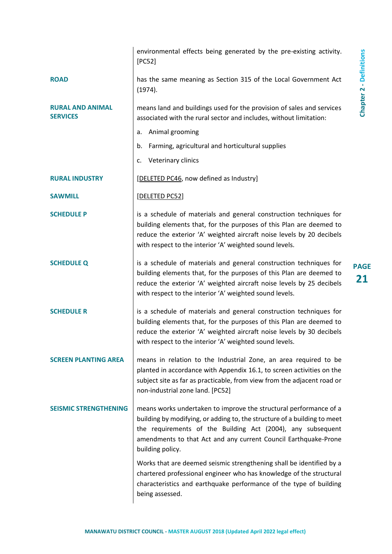|                                            | environmental effects being generated by the pre-existing activity.<br>[PC52]                                                                                                                                                                                                                       |
|--------------------------------------------|-----------------------------------------------------------------------------------------------------------------------------------------------------------------------------------------------------------------------------------------------------------------------------------------------------|
| <b>ROAD</b>                                | has the same meaning as Section 315 of the Local Government Act<br>(1974).                                                                                                                                                                                                                          |
| <b>RURAL AND ANIMAL</b><br><b>SERVICES</b> | means land and buildings used for the provision of sales and services<br>associated with the rural sector and includes, without limitation:                                                                                                                                                         |
|                                            | Animal grooming<br>a.                                                                                                                                                                                                                                                                               |
|                                            | b. Farming, agricultural and horticultural supplies                                                                                                                                                                                                                                                 |
|                                            | c. Veterinary clinics                                                                                                                                                                                                                                                                               |
| <b>RURAL INDUSTRY</b>                      | [DELETED PC46, now defined as Industry]                                                                                                                                                                                                                                                             |
| <b>SAWMILL</b>                             | [DELETED PC52]                                                                                                                                                                                                                                                                                      |
| <b>SCHEDULE P</b>                          | is a schedule of materials and general construction techniques for<br>building elements that, for the purposes of this Plan are deemed to<br>reduce the exterior 'A' weighted aircraft noise levels by 20 decibels<br>with respect to the interior 'A' weighted sound levels.                       |
| <b>SCHEDULE Q</b>                          | is a schedule of materials and general construction techniques for<br>building elements that, for the purposes of this Plan are deemed to<br>reduce the exterior 'A' weighted aircraft noise levels by 25 decibels<br>with respect to the interior 'A' weighted sound levels.                       |
| <b>SCHEDULE R</b>                          | is a schedule of materials and general construction techniques for<br>building elements that, for the purposes of this Plan are deemed to<br>reduce the exterior 'A' weighted aircraft noise levels by 30 decibels<br>with respect to the interior 'A' weighted sound levels.                       |
| <b>SCREEN PLANTING AREA</b>                | means in relation to the Industrial Zone, an area required to be<br>planted in accordance with Appendix 16.1, to screen activities on the<br>subject site as far as practicable, from view from the adjacent road or<br>non-industrial zone land. [PC52]                                            |
| <b>SEISMIC STRENGTHENING</b>               | means works undertaken to improve the structural performance of a<br>building by modifying, or adding to, the structure of a building to meet<br>the requirements of the Building Act (2004), any subsequent<br>amendments to that Act and any current Council Earthquake-Prone<br>building policy. |
|                                            | Works that are deemed seismic strengthening shall be identified by a<br>chartered professional engineer who has knowledge of the structural<br>characteristics and earthquake performance of the type of building<br>being assessed.                                                                |

 $\overline{\phantom{a}}$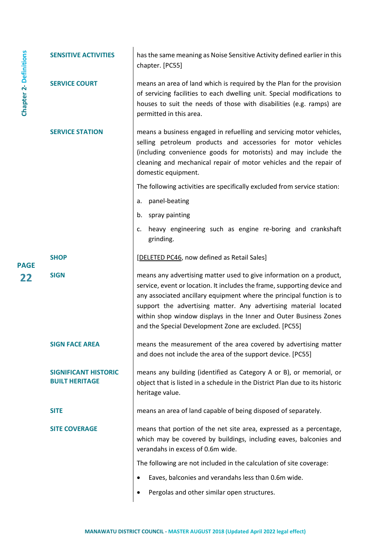|                               | <b>SENSITIVE ACTIVITIES</b>                          | has the same meaning as Noise Sensitive Activity defined earlier in this<br>chapter. [PC55]                                                                                                                                                                                                                                                                                                                                |
|-------------------------------|------------------------------------------------------|----------------------------------------------------------------------------------------------------------------------------------------------------------------------------------------------------------------------------------------------------------------------------------------------------------------------------------------------------------------------------------------------------------------------------|
| <b>Chapter 2- Definitions</b> | <b>SERVICE COURT</b>                                 | means an area of land which is required by the Plan for the provision<br>of servicing facilities to each dwelling unit. Special modifications to<br>houses to suit the needs of those with disabilities (e.g. ramps) are<br>permitted in this area.                                                                                                                                                                        |
|                               | <b>SERVICE STATION</b>                               | means a business engaged in refuelling and servicing motor vehicles,<br>selling petroleum products and accessories for motor vehicles<br>(including convenience goods for motorists) and may include the<br>cleaning and mechanical repair of motor vehicles and the repair of<br>domestic equipment.                                                                                                                      |
|                               |                                                      | The following activities are specifically excluded from service station:                                                                                                                                                                                                                                                                                                                                                   |
|                               |                                                      | panel-beating<br>a.                                                                                                                                                                                                                                                                                                                                                                                                        |
|                               |                                                      | spray painting<br>b.                                                                                                                                                                                                                                                                                                                                                                                                       |
|                               |                                                      | heavy engineering such as engine re-boring and crankshaft<br>c.<br>grinding.                                                                                                                                                                                                                                                                                                                                               |
|                               | <b>SHOP</b>                                          | [DELETED PC46, now defined as Retail Sales]                                                                                                                                                                                                                                                                                                                                                                                |
| <b>PAGE</b><br>22             | <b>SIGN</b>                                          | means any advertising matter used to give information on a product,<br>service, event or location. It includes the frame, supporting device and<br>any associated ancillary equipment where the principal function is to<br>support the advertising matter. Any advertising material located<br>within shop window displays in the Inner and Outer Business Zones<br>and the Special Development Zone are excluded. [PC55] |
|                               | <b>SIGN FACE AREA</b>                                | means the measurement of the area covered by advertising matter<br>and does not include the area of the support device. [PC55]                                                                                                                                                                                                                                                                                             |
|                               | <b>SIGNIFICANT HISTORIC</b><br><b>BUILT HERITAGE</b> | means any building (identified as Category A or B), or memorial, or<br>object that is listed in a schedule in the District Plan due to its historic<br>heritage value.                                                                                                                                                                                                                                                     |
|                               | <b>SITE</b>                                          | means an area of land capable of being disposed of separately.                                                                                                                                                                                                                                                                                                                                                             |
|                               | <b>SITE COVERAGE</b>                                 | means that portion of the net site area, expressed as a percentage,<br>which may be covered by buildings, including eaves, balconies and<br>verandahs in excess of 0.6m wide.                                                                                                                                                                                                                                              |
|                               |                                                      | The following are not included in the calculation of site coverage:                                                                                                                                                                                                                                                                                                                                                        |
|                               |                                                      | Eaves, balconies and verandahs less than 0.6m wide.<br>$\bullet$                                                                                                                                                                                                                                                                                                                                                           |
|                               |                                                      | Pergolas and other similar open structures.                                                                                                                                                                                                                                                                                                                                                                                |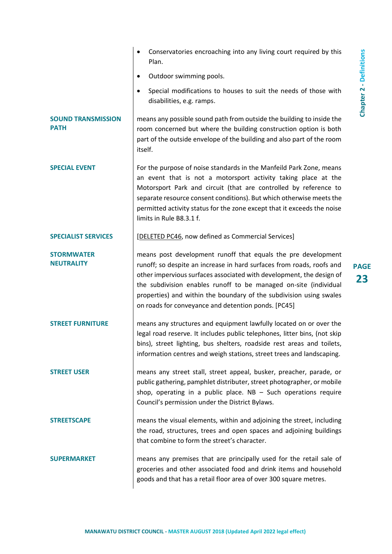|                                          | Conservatories encroaching into any living court required by this<br>Plan.                                                                                                                                                                                                                                                                                                                                       |
|------------------------------------------|------------------------------------------------------------------------------------------------------------------------------------------------------------------------------------------------------------------------------------------------------------------------------------------------------------------------------------------------------------------------------------------------------------------|
|                                          | Outdoor swimming pools.<br>$\bullet$                                                                                                                                                                                                                                                                                                                                                                             |
|                                          | Special modifications to houses to suit the needs of those with<br>disabilities, e.g. ramps.                                                                                                                                                                                                                                                                                                                     |
| <b>SOUND TRANSMISSION</b><br><b>PATH</b> | means any possible sound path from outside the building to inside the<br>room concerned but where the building construction option is both<br>part of the outside envelope of the building and also part of the room<br>itself.                                                                                                                                                                                  |
| <b>SPECIAL EVENT</b>                     | For the purpose of noise standards in the Manfeild Park Zone, means<br>an event that is not a motorsport activity taking place at the<br>Motorsport Park and circuit (that are controlled by reference to<br>separate resource consent conditions). But which otherwise meets the<br>permitted activity status for the zone except that it exceeds the noise<br>limits in Rule B8.3.1 f.                         |
| <b>SPECIALIST SERVICES</b>               | [DELETED PC46, now defined as Commercial Services]                                                                                                                                                                                                                                                                                                                                                               |
| <b>STORMWATER</b><br><b>NEUTRALITY</b>   | means post development runoff that equals the pre development<br>runoff; so despite an increase in hard surfaces from roads, roofs and<br>other impervious surfaces associated with development, the design of<br>the subdivision enables runoff to be managed on-site (individual<br>properties) and within the boundary of the subdivision using swales<br>on roads for conveyance and detention ponds. [PC45] |
| <b>STREET FURNITURE</b>                  | means any structures and equipment lawfully located on or over the<br>legal road reserve. It includes public telephones, litter bins, (not skip<br>bins), street lighting, bus shelters, roadside rest areas and toilets,<br>information centres and weigh stations, street trees and landscaping.                                                                                                               |
| <b>STREET USER</b>                       | means any street stall, street appeal, busker, preacher, parade, or<br>public gathering, pamphlet distributer, street photographer, or mobile<br>shop, operating in a public place. $NB - Such$ operations require<br>Council's permission under the District Bylaws.                                                                                                                                            |
| <b>STREETSCAPE</b>                       | means the visual elements, within and adjoining the street, including<br>the road, structures, trees and open spaces and adjoining buildings<br>that combine to form the street's character.                                                                                                                                                                                                                     |
| <b>SUPERMARKET</b>                       | means any premises that are principally used for the retail sale of<br>groceries and other associated food and drink items and household<br>goods and that has a retail floor area of over 300 square metres.                                                                                                                                                                                                    |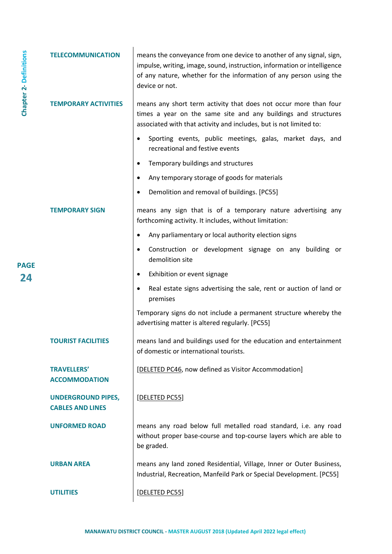| <b>Chapter 2-Definitions</b> | <b>TELECOMMUNICATION</b>                             | means the conveyance from one device to another of any signal, sign,<br>impulse, writing, image, sound, instruction, information or intelligence<br>of any nature, whether for the information of any person using the<br>device or not. |
|------------------------------|------------------------------------------------------|------------------------------------------------------------------------------------------------------------------------------------------------------------------------------------------------------------------------------------------|
|                              | <b>TEMPORARY ACTIVITIES</b>                          | means any short term activity that does not occur more than four<br>times a year on the same site and any buildings and structures<br>associated with that activity and includes, but is not limited to:                                 |
|                              |                                                      | Sporting events, public meetings, galas, market days, and<br>$\bullet$<br>recreational and festive events                                                                                                                                |
|                              |                                                      | Temporary buildings and structures<br>$\bullet$                                                                                                                                                                                          |
|                              |                                                      | Any temporary storage of goods for materials<br>$\bullet$                                                                                                                                                                                |
|                              |                                                      | Demolition and removal of buildings. [PC55]<br>٠                                                                                                                                                                                         |
|                              | <b>TEMPORARY SIGN</b>                                | means any sign that is of a temporary nature advertising any<br>forthcoming activity. It includes, without limitation:                                                                                                                   |
|                              |                                                      | Any parliamentary or local authority election signs<br>$\bullet$                                                                                                                                                                         |
| <b>PAGE</b>                  |                                                      | Construction or development signage on any building or<br>$\bullet$<br>demolition site                                                                                                                                                   |
| 24                           |                                                      | Exhibition or event signage<br>$\bullet$                                                                                                                                                                                                 |
|                              |                                                      | Real estate signs advertising the sale, rent or auction of land or<br>$\bullet$<br>premises                                                                                                                                              |
|                              |                                                      | Temporary signs do not include a permanent structure whereby the<br>advertising matter is altered regularly. [PC55]                                                                                                                      |
|                              | <b>TOURIST FACILITI</b>                              | means land and buildings used for the education and entertainment<br>of domestic or international tourists.                                                                                                                              |
|                              | <b>TRAVELLERS'</b><br><b>ACCOMMODATION</b>           | [DELETED PC46, now defined as Visitor Accommodation]                                                                                                                                                                                     |
|                              | <b>UNDERGROUND PIPES,</b><br><b>CABLES AND LINES</b> | [DELETED PC55]                                                                                                                                                                                                                           |
|                              | <b>UNFORMED ROAD</b>                                 | means any road below full metalled road standard, i.e. any road<br>without proper base-course and top-course layers which are able to<br>be graded.                                                                                      |
|                              | <b>URBAN AREA</b>                                    | means any land zoned Residential, Village, Inner or Outer Business,<br>Industrial, Recreation, Manfeild Park or Special Development. [PC55]                                                                                              |
|                              | <b>UTILITIES</b>                                     | [DELETED PC55]                                                                                                                                                                                                                           |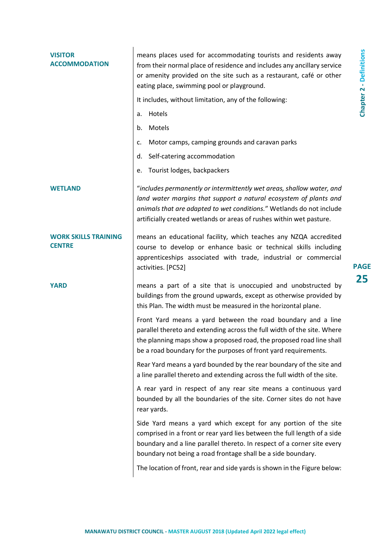| <b>VISITOR</b><br><b>ACCOMMODATION</b>       | means places used for accommodating tourists and residents away<br>from their normal place of residence and includes any ancillary service<br>or amenity provided on the site such as a restaurant, café or other<br>eating place, swimming pool or playground.<br>It includes, without limitation, any of the following:<br>Hotels<br>a.<br>Motels<br>b.<br>Motor camps, camping grounds and caravan parks<br>c.<br>Self-catering accommodation<br>d.<br>Tourist lodges, backpackers<br>е. | <b>Chapter 2 - Definitions</b> |
|----------------------------------------------|---------------------------------------------------------------------------------------------------------------------------------------------------------------------------------------------------------------------------------------------------------------------------------------------------------------------------------------------------------------------------------------------------------------------------------------------------------------------------------------------|--------------------------------|
| <b>WETLAND</b>                               | "includes permanently or intermittently wet areas, shallow water, and<br>land water margins that support a natural ecosystem of plants and<br>animals that are adapted to wet conditions." Wetlands do not include<br>artificially created wetlands or areas of rushes within wet pasture.                                                                                                                                                                                                  |                                |
| <b>WORK SKILLS TRAINING</b><br><b>CENTRE</b> | means an educational facility, which teaches any NZQA accredited<br>course to develop or enhance basic or technical skills including<br>apprenticeships associated with trade, industrial or commercial<br>activities. [PC52]                                                                                                                                                                                                                                                               | <b>PAGE</b>                    |
| <b>YARD</b>                                  | means a part of a site that is unoccupied and unobstructed by<br>buildings from the ground upwards, except as otherwise provided by<br>this Plan. The width must be measured in the horizontal plane.                                                                                                                                                                                                                                                                                       | 25                             |
|                                              | Front Yard means a yard between the road boundary and a line<br>parallel thereto and extending across the full width of the site. Where<br>the planning maps show a proposed road, the proposed road line shall<br>be a road boundary for the purposes of front yard requirements.                                                                                                                                                                                                          |                                |
|                                              | Rear Yard means a yard bounded by the rear boundary of the site and<br>a line parallel thereto and extending across the full width of the site.                                                                                                                                                                                                                                                                                                                                             |                                |
|                                              | A rear yard in respect of any rear site means a continuous yard<br>bounded by all the boundaries of the site. Corner sites do not have<br>rear yards.                                                                                                                                                                                                                                                                                                                                       |                                |
|                                              | Side Yard means a yard which except for any portion of the site<br>comprised in a front or rear yard lies between the full length of a side<br>boundary and a line parallel thereto. In respect of a corner site every<br>boundary not being a road frontage shall be a side boundary.                                                                                                                                                                                                      |                                |
|                                              | The location of front, rear and side yards is shown in the Figure below:                                                                                                                                                                                                                                                                                                                                                                                                                    |                                |